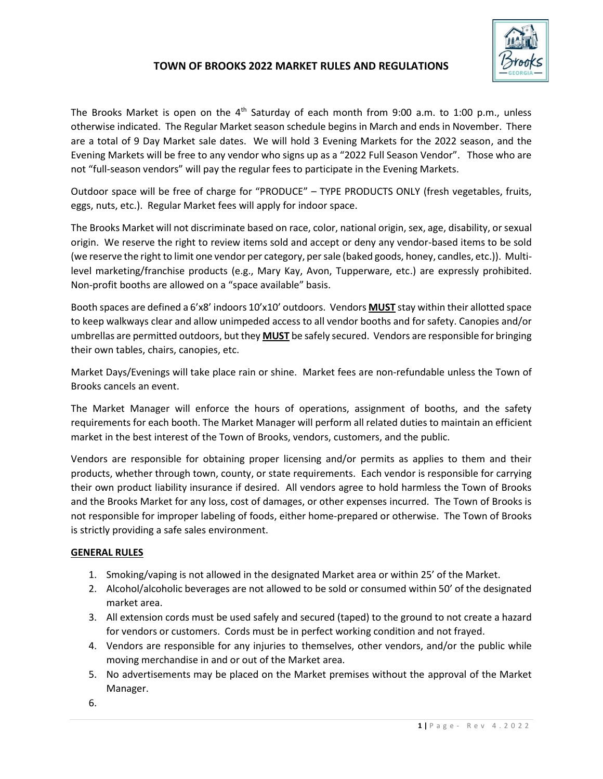

## **TOWN OF BROOKS 2022 MARKET RULES AND REGULATIONS**

The Brooks Market is open on the  $4<sup>th</sup>$  Saturday of each month from 9:00 a.m. to 1:00 p.m., unless otherwise indicated. The Regular Market season schedule begins in March and ends in November. There are a total of 9 Day Market sale dates. We will hold 3 Evening Markets for the 2022 season, and the Evening Markets will be free to any vendor who signs up as a "2022 Full Season Vendor". Those who are not "full-season vendors" will pay the regular fees to participate in the Evening Markets.

Outdoor space will be free of charge for "PRODUCE" – TYPE PRODUCTS ONLY (fresh vegetables, fruits, eggs, nuts, etc.). Regular Market fees will apply for indoor space.

The Brooks Market will not discriminate based on race, color, national origin, sex, age, disability, or sexual origin. We reserve the right to review items sold and accept or deny any vendor-based items to be sold (we reserve the right to limit one vendor per category, per sale (baked goods, honey, candles, etc.)). Multilevel marketing/franchise products (e.g., Mary Kay, Avon, Tupperware, etc.) are expressly prohibited. Non-profit booths are allowed on a "space available" basis.

Booth spaces are defined a 6'x8' indoors 10'x10' outdoors. Vendors **MUST** stay within their allotted space to keep walkways clear and allow unimpeded access to all vendor booths and for safety. Canopies and/or umbrellas are permitted outdoors, but they **MUST** be safely secured. Vendors are responsible for bringing their own tables, chairs, canopies, etc.

Market Days/Evenings will take place rain or shine. Market fees are non-refundable unless the Town of Brooks cancels an event.

The Market Manager will enforce the hours of operations, assignment of booths, and the safety requirements for each booth. The Market Manager will perform all related duties to maintain an efficient market in the best interest of the Town of Brooks, vendors, customers, and the public.

Vendors are responsible for obtaining proper licensing and/or permits as applies to them and their products, whether through town, county, or state requirements. Each vendor is responsible for carrying their own product liability insurance if desired. All vendors agree to hold harmless the Town of Brooks and the Brooks Market for any loss, cost of damages, or other expenses incurred. The Town of Brooks is not responsible for improper labeling of foods, either home-prepared or otherwise. The Town of Brooks is strictly providing a safe sales environment.

## **GENERAL RULES**

- 1. Smoking/vaping is not allowed in the designated Market area or within 25' of the Market.
- 2. Alcohol/alcoholic beverages are not allowed to be sold or consumed within 50' of the designated market area.
- 3. All extension cords must be used safely and secured (taped) to the ground to not create a hazard for vendors or customers. Cords must be in perfect working condition and not frayed.
- 4. Vendors are responsible for any injuries to themselves, other vendors, and/or the public while moving merchandise in and or out of the Market area.
- 5. No advertisements may be placed on the Market premises without the approval of the Market Manager.

6.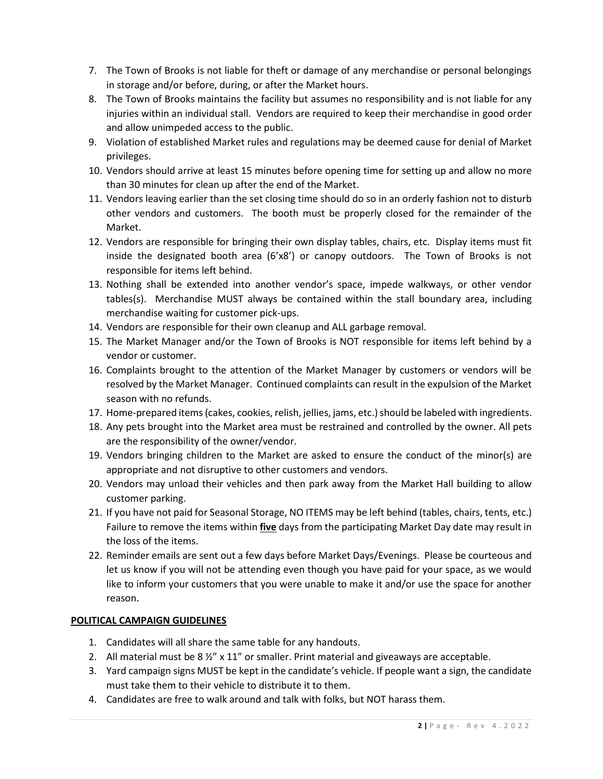- 7. The Town of Brooks is not liable for theft or damage of any merchandise or personal belongings in storage and/or before, during, or after the Market hours.
- 8. The Town of Brooks maintains the facility but assumes no responsibility and is not liable for any injuries within an individual stall. Vendors are required to keep their merchandise in good order and allow unimpeded access to the public.
- 9. Violation of established Market rules and regulations may be deemed cause for denial of Market privileges.
- 10. Vendors should arrive at least 15 minutes before opening time for setting up and allow no more than 30 minutes for clean up after the end of the Market.
- 11. Vendors leaving earlier than the set closing time should do so in an orderly fashion not to disturb other vendors and customers. The booth must be properly closed for the remainder of the Market.
- 12. Vendors are responsible for bringing their own display tables, chairs, etc. Display items must fit inside the designated booth area (6'x8') or canopy outdoors. The Town of Brooks is not responsible for items left behind.
- 13. Nothing shall be extended into another vendor's space, impede walkways, or other vendor tables(s). Merchandise MUST always be contained within the stall boundary area, including merchandise waiting for customer pick-ups.
- 14. Vendors are responsible for their own cleanup and ALL garbage removal.
- 15. The Market Manager and/or the Town of Brooks is NOT responsible for items left behind by a vendor or customer.
- 16. Complaints brought to the attention of the Market Manager by customers or vendors will be resolved by the Market Manager. Continued complaints can result in the expulsion of the Market season with no refunds.
- 17. Home-prepared items (cakes, cookies, relish, jellies, jams, etc.) should be labeled with ingredients.
- 18. Any pets brought into the Market area must be restrained and controlled by the owner. All pets are the responsibility of the owner/vendor.
- 19. Vendors bringing children to the Market are asked to ensure the conduct of the minor(s) are appropriate and not disruptive to other customers and vendors.
- 20. Vendors may unload their vehicles and then park away from the Market Hall building to allow customer parking.
- 21. If you have not paid for Seasonal Storage, NO ITEMS may be left behind (tables, chairs, tents, etc.) Failure to remove the items within **five** days from the participating Market Day date may result in the loss of the items.
- 22. Reminder emails are sent out a few days before Market Days/Evenings. Please be courteous and let us know if you will not be attending even though you have paid for your space, as we would like to inform your customers that you were unable to make it and/or use the space for another reason.

## **POLITICAL CAMPAIGN GUIDELINES**

- 1. Candidates will all share the same table for any handouts.
- 2. All material must be  $8\frac{1}{2}$  x 11" or smaller. Print material and giveaways are acceptable.
- 3. Yard campaign signs MUST be kept in the candidate's vehicle. If people want a sign, the candidate must take them to their vehicle to distribute it to them.
- 4. Candidates are free to walk around and talk with folks, but NOT harass them.